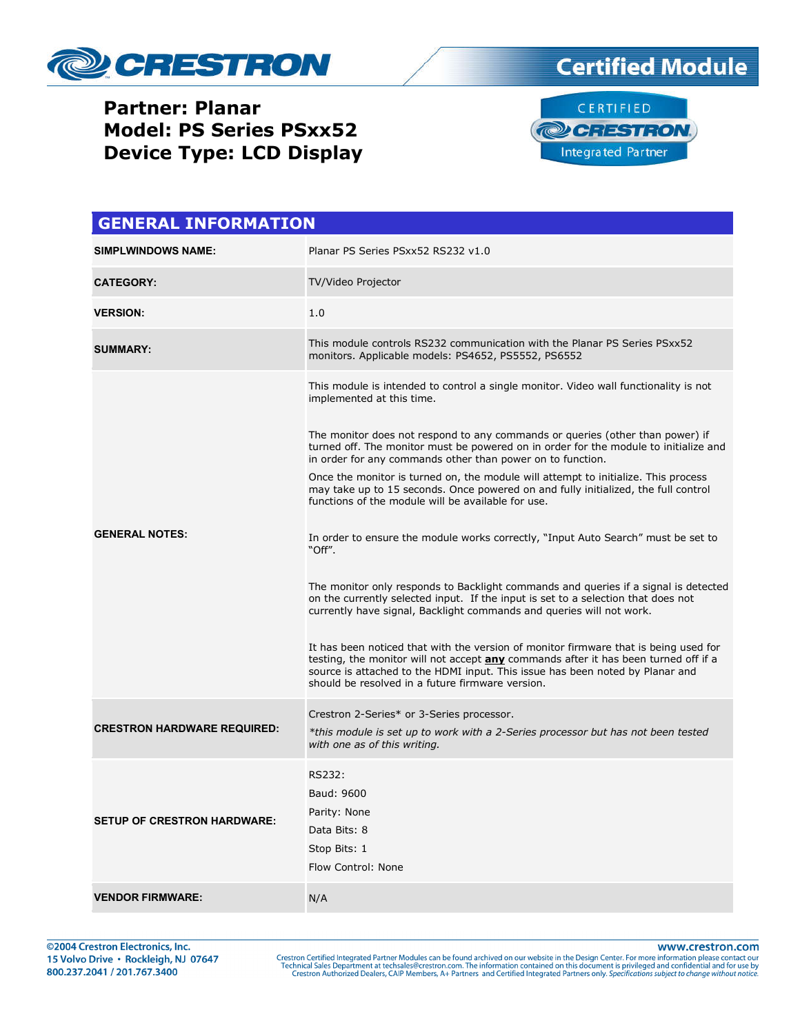

### **Partner: Planar Model: PS Series PSxx52 Device Type: LCD Display**





| <b>GENERAL INFORMATION</b>         |                                                                                                                                                                                                                                                                                                                                                                                                                                                                                                                                                                                                                                                                                                                                                                                                                                                                                                                                                                                                                                                                                                                                                                                                                                                                          |  |  |
|------------------------------------|--------------------------------------------------------------------------------------------------------------------------------------------------------------------------------------------------------------------------------------------------------------------------------------------------------------------------------------------------------------------------------------------------------------------------------------------------------------------------------------------------------------------------------------------------------------------------------------------------------------------------------------------------------------------------------------------------------------------------------------------------------------------------------------------------------------------------------------------------------------------------------------------------------------------------------------------------------------------------------------------------------------------------------------------------------------------------------------------------------------------------------------------------------------------------------------------------------------------------------------------------------------------------|--|--|
| <b>SIMPLWINDOWS NAME:</b>          | Planar PS Series PSxx52 RS232 v1.0                                                                                                                                                                                                                                                                                                                                                                                                                                                                                                                                                                                                                                                                                                                                                                                                                                                                                                                                                                                                                                                                                                                                                                                                                                       |  |  |
| <b>CATEGORY:</b>                   | TV/Video Projector                                                                                                                                                                                                                                                                                                                                                                                                                                                                                                                                                                                                                                                                                                                                                                                                                                                                                                                                                                                                                                                                                                                                                                                                                                                       |  |  |
| <b>VERSION:</b>                    | 1.0                                                                                                                                                                                                                                                                                                                                                                                                                                                                                                                                                                                                                                                                                                                                                                                                                                                                                                                                                                                                                                                                                                                                                                                                                                                                      |  |  |
| <b>SUMMARY:</b>                    | This module controls RS232 communication with the Planar PS Series PSxx52<br>monitors. Applicable models: PS4652, PS5552, PS6552                                                                                                                                                                                                                                                                                                                                                                                                                                                                                                                                                                                                                                                                                                                                                                                                                                                                                                                                                                                                                                                                                                                                         |  |  |
| <b>GENERAL NOTES:</b>              | This module is intended to control a single monitor. Video wall functionality is not<br>implemented at this time.<br>The monitor does not respond to any commands or queries (other than power) if<br>turned off. The monitor must be powered on in order for the module to initialize and<br>in order for any commands other than power on to function.<br>Once the monitor is turned on, the module will attempt to initialize. This process<br>may take up to 15 seconds. Once powered on and fully initialized, the full control<br>functions of the module will be available for use.<br>In order to ensure the module works correctly, "Input Auto Search" must be set to<br>"Off".<br>The monitor only responds to Backlight commands and queries if a signal is detected<br>on the currently selected input. If the input is set to a selection that does not<br>currently have signal, Backlight commands and queries will not work.<br>It has been noticed that with the version of monitor firmware that is being used for<br>testing, the monitor will not accept <b>any</b> commands after it has been turned off if a<br>source is attached to the HDMI input. This issue has been noted by Planar and<br>should be resolved in a future firmware version. |  |  |
| <b>CRESTRON HARDWARE REQUIRED:</b> | Crestron 2-Series* or 3-Series processor.<br>*this module is set up to work with a 2-Series processor but has not been tested<br>with one as of this writing.                                                                                                                                                                                                                                                                                                                                                                                                                                                                                                                                                                                                                                                                                                                                                                                                                                                                                                                                                                                                                                                                                                            |  |  |
| <b>SETUP OF CRESTRON HARDWARE:</b> | RS232:<br>Baud: 9600<br>Parity: None<br>Data Bits: 8<br>Stop Bits: 1<br>Flow Control: None                                                                                                                                                                                                                                                                                                                                                                                                                                                                                                                                                                                                                                                                                                                                                                                                                                                                                                                                                                                                                                                                                                                                                                               |  |  |
| <b>VENDOR FIRMWARE:</b>            | N/A                                                                                                                                                                                                                                                                                                                                                                                                                                                                                                                                                                                                                                                                                                                                                                                                                                                                                                                                                                                                                                                                                                                                                                                                                                                                      |  |  |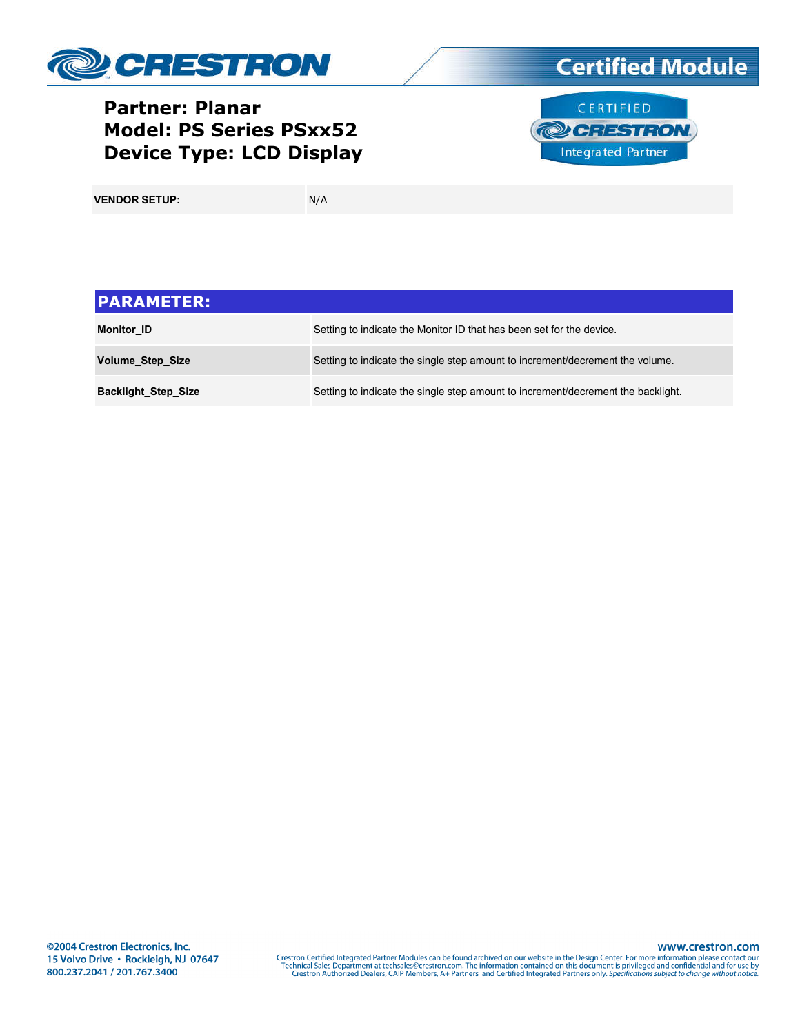

## **Partner: Planar Model: PS Series PSxx52 Device Type: LCD Display**





**VENDOR SETUP:** N/A

| <b>PARAMETER:</b>          |                                                                                  |
|----------------------------|----------------------------------------------------------------------------------|
| <b>Monitor ID</b>          | Setting to indicate the Monitor ID that has been set for the device.             |
| <b>Volume Step Size</b>    | Setting to indicate the single step amount to increment/decrement the volume.    |
| <b>Backlight Step Size</b> | Setting to indicate the single step amount to increment/decrement the backlight. |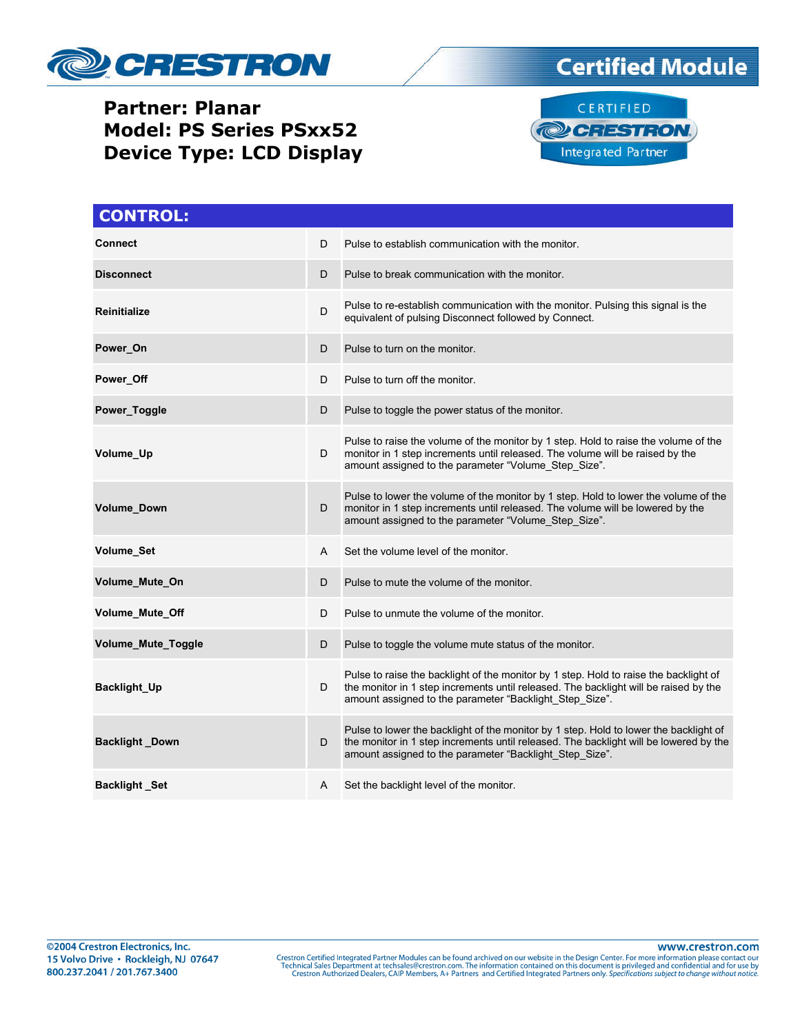

# **Certified Module**

## **Partner: Planar Model: PS Series PSxx52 Device Type: LCD Display**



| <b>CONTROL:</b>           |   |                                                                                                                                                                                                                                           |
|---------------------------|---|-------------------------------------------------------------------------------------------------------------------------------------------------------------------------------------------------------------------------------------------|
| Connect                   | D | Pulse to establish communication with the monitor.                                                                                                                                                                                        |
| <b>Disconnect</b>         | D | Pulse to break communication with the monitor.                                                                                                                                                                                            |
| <b>Reinitialize</b>       | D | Pulse to re-establish communication with the monitor. Pulsing this signal is the<br>equivalent of pulsing Disconnect followed by Connect.                                                                                                 |
| Power_On                  | D | Pulse to turn on the monitor.                                                                                                                                                                                                             |
| Power Off                 | D | Pulse to turn off the monitor.                                                                                                                                                                                                            |
| Power_Toggle              | D | Pulse to toggle the power status of the monitor.                                                                                                                                                                                          |
| Volume_Up                 | D | Pulse to raise the volume of the monitor by 1 step. Hold to raise the volume of the<br>monitor in 1 step increments until released. The volume will be raised by the<br>amount assigned to the parameter "Volume_Step_Size".              |
| <b>Volume Down</b>        | D | Pulse to lower the volume of the monitor by 1 step. Hold to lower the volume of the<br>monitor in 1 step increments until released. The volume will be lowered by the<br>amount assigned to the parameter "Volume_Step_Size".             |
| <b>Volume Set</b>         | A | Set the volume level of the monitor                                                                                                                                                                                                       |
| Volume_Mute_On            | D | Pulse to mute the volume of the monitor.                                                                                                                                                                                                  |
| <b>Volume Mute Off</b>    | D | Pulse to unmute the volume of the monitor.                                                                                                                                                                                                |
| <b>Volume Mute Toggle</b> | D | Pulse to toggle the volume mute status of the monitor.                                                                                                                                                                                    |
| <b>Backlight_Up</b>       | D | Pulse to raise the backlight of the monitor by 1 step. Hold to raise the backlight of<br>the monitor in 1 step increments until released. The backlight will be raised by the<br>amount assigned to the parameter "Backlight_Step_Size".  |
| <b>Backlight Down</b>     | D | Pulse to lower the backlight of the monitor by 1 step. Hold to lower the backlight of<br>the monitor in 1 step increments until released. The backlight will be lowered by the<br>amount assigned to the parameter "Backlight Step Size". |
| <b>Backlight Set</b>      | A | Set the backlight level of the monitor.                                                                                                                                                                                                   |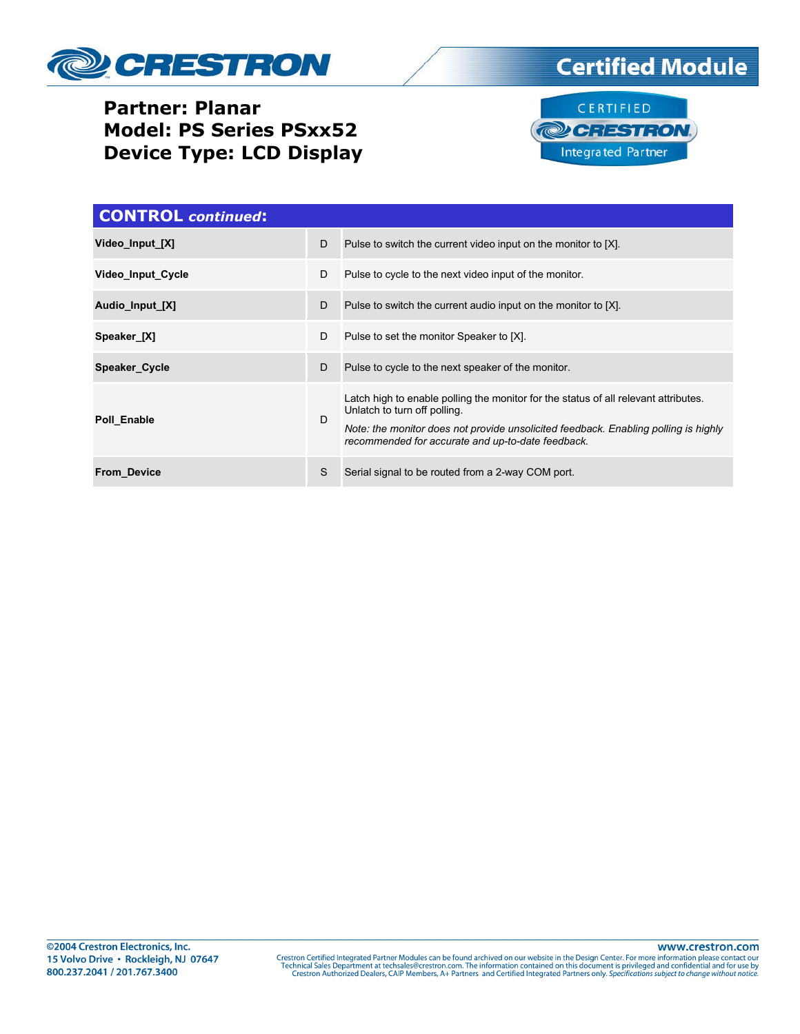

# **Certified Module**

## **Partner: Planar Model: PS Series PSxx52 Device Type: LCD Display**



| <b>CONTROL</b> continued: |   |                                                                                                                                                                                                                                                                 |
|---------------------------|---|-----------------------------------------------------------------------------------------------------------------------------------------------------------------------------------------------------------------------------------------------------------------|
| Video Input [X]           | D | Pulse to switch the current video input on the monitor to [X].                                                                                                                                                                                                  |
| Video Input Cycle         | D | Pulse to cycle to the next video input of the monitor.                                                                                                                                                                                                          |
| Audio_Input_[X]           | D | Pulse to switch the current audio input on the monitor to [X].                                                                                                                                                                                                  |
| Speaker [X]               | D | Pulse to set the monitor Speaker to [X].                                                                                                                                                                                                                        |
| Speaker Cycle             | D | Pulse to cycle to the next speaker of the monitor.                                                                                                                                                                                                              |
| Poll Enable               | D | Latch high to enable polling the monitor for the status of all relevant attributes.<br>Unlatch to turn off polling.<br>Note: the monitor does not provide unsolicited feedback. Enabling polling is highly<br>recommended for accurate and up-to-date feedback. |
| <b>From Device</b>        | S | Serial signal to be routed from a 2-way COM port.                                                                                                                                                                                                               |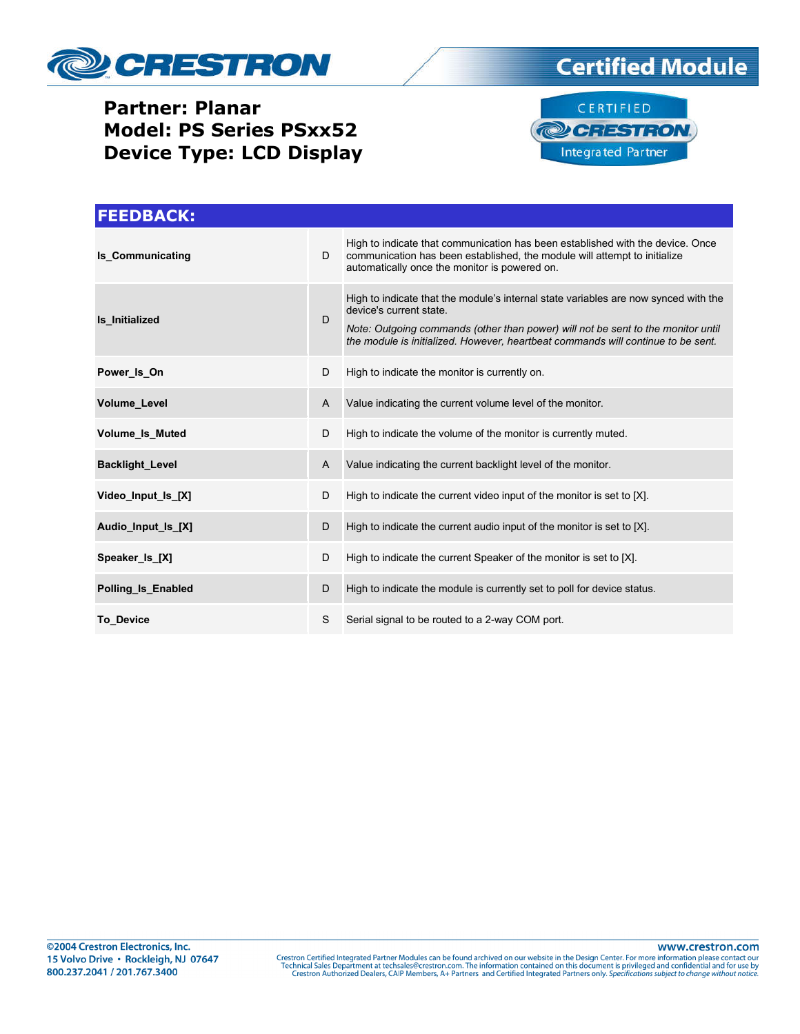

### **Partner: Planar Model: PS Series PSxx52 Device Type: LCD Display**





| <b>FEEDBACK:</b>        |                |                                                                                                                                                                                                                                                                                        |
|-------------------------|----------------|----------------------------------------------------------------------------------------------------------------------------------------------------------------------------------------------------------------------------------------------------------------------------------------|
| <b>Is Communicating</b> | D              | High to indicate that communication has been established with the device. Once<br>communication has been established, the module will attempt to initialize<br>automatically once the monitor is powered on.                                                                           |
| Is Initialized          | D              | High to indicate that the module's internal state variables are now synced with the<br>device's current state.<br>Note: Outgoing commands (other than power) will not be sent to the monitor until<br>the module is initialized. However, heartbeat commands will continue to be sent. |
| Power Is On             | D              | High to indicate the monitor is currently on.                                                                                                                                                                                                                                          |
| <b>Volume Level</b>     | $\overline{A}$ | Value indicating the current volume level of the monitor.                                                                                                                                                                                                                              |
| <b>Volume Is Muted</b>  | D              | High to indicate the volume of the monitor is currently muted.                                                                                                                                                                                                                         |
| <b>Backlight Level</b>  | A              | Value indicating the current backlight level of the monitor.                                                                                                                                                                                                                           |
| Video_Input_Is_[X]      | D              | High to indicate the current video input of the monitor is set to [X].                                                                                                                                                                                                                 |
| Audio Input Is [X]      | D              | High to indicate the current audio input of the monitor is set to [X].                                                                                                                                                                                                                 |
| Speaker Is [X]          | D              | High to indicate the current Speaker of the monitor is set to [X].                                                                                                                                                                                                                     |
| Polling Is Enabled      | D              | High to indicate the module is currently set to poll for device status.                                                                                                                                                                                                                |
| <b>To Device</b>        | S              | Serial signal to be routed to a 2-way COM port.                                                                                                                                                                                                                                        |